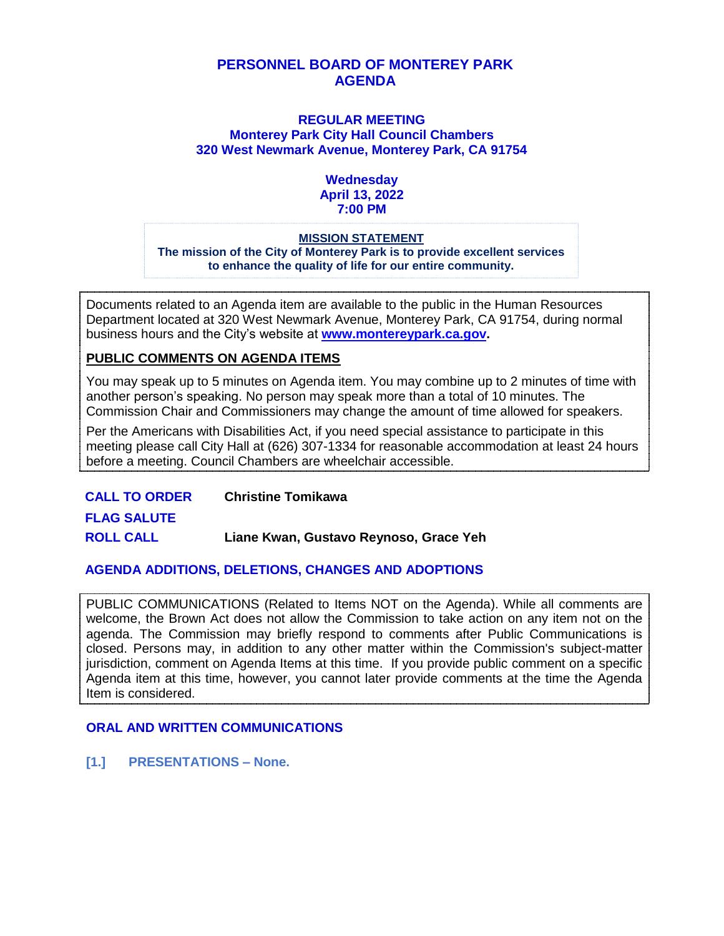#### **PERSONNEL BOARD OF MONTEREY PARK AGENDA**

#### **REGULAR MEETING Monterey Park City Hall Council Chambers 320 West Newmark Avenue, Monterey Park, CA 91754**

#### **Wednesday April 13, 2022 7:00 PM**

#### **MISSION STATEMENT**

**The mission of the City of Monterey Park is to provide excellent services to enhance the quality of life for our entire community.**

Documents related to an Agenda item are available to the public in the Human Resources Department located at 320 West Newmark Avenue, Monterey Park, CA 91754, during normal business hours and the City's website at **[www.montereypark.ca.gov.](http://www.montereypark.ca.gov/)** 

#### **PUBLIC COMMENTS ON AGENDA ITEMS**

You may speak up to 5 minutes on Agenda item. You may combine up to 2 minutes of time with another person's speaking. No person may speak more than a total of 10 minutes. The Commission Chair and Commissioners may change the amount of time allowed for speakers.

Per the Americans with Disabilities Act, if you need special assistance to participate in this meeting please call City Hall at (626) 307-1334 for reasonable accommodation at least 24 hours before a meeting. Council Chambers are wheelchair accessible.

**CALL TO ORDER Christine Tomikawa FLAG SALUTE ROLL CALL Liane Kwan, Gustavo Reynoso, Grace Yeh**

#### **AGENDA ADDITIONS, DELETIONS, CHANGES AND ADOPTIONS**

PUBLIC COMMUNICATIONS (Related to Items NOT on the Agenda). While all comments are welcome, the Brown Act does not allow the Commission to take action on any item not on the agenda. The Commission may briefly respond to comments after Public Communications is closed. Persons may, in addition to any other matter within the Commission's subject-matter jurisdiction, comment on Agenda Items at this time. If you provide public comment on a specific Agenda item at this time, however, you cannot later provide comments at the time the Agenda Item is considered.

#### **ORAL AND WRITTEN COMMUNICATIONS**

**[1.] PRESENTATIONS – None.**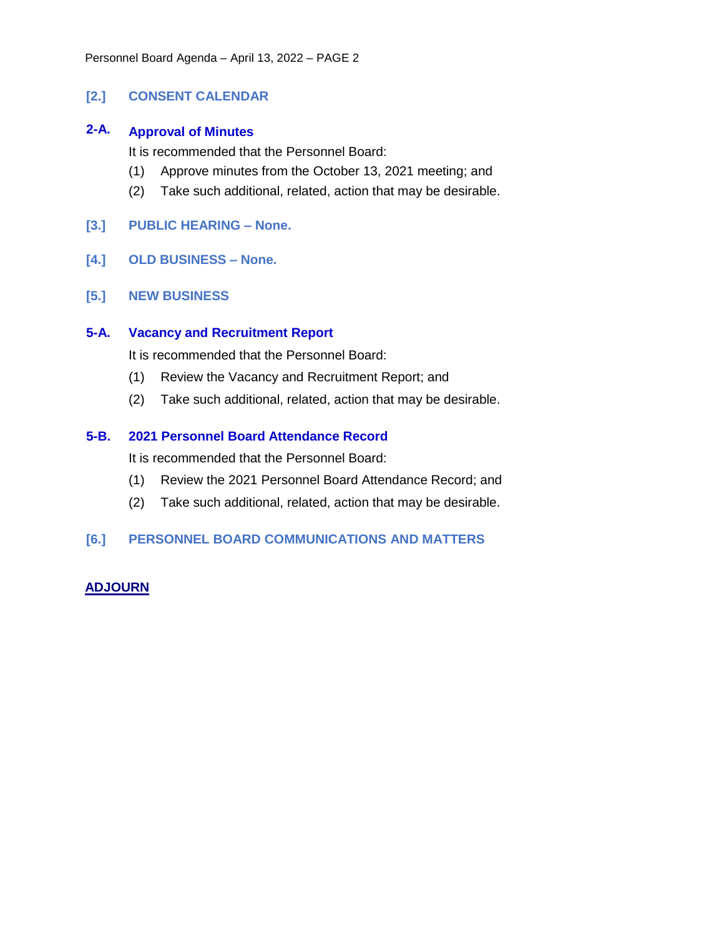#### **[2.] CONSENT CALENDAR**

#### **2-A. Approval of Minutes**

It is recommended that the Personnel Board:

- (1) Approve minutes from the October 13, 2021 meeting; and
- (2) Take such additional, related, action that may be desirable.
- **[3.] PUBLIC HEARING – None.**
- **[4.] OLD BUSINESS – None.**
- **[5.] NEW BUSINESS**

#### **5-A. Vacancy and Recruitment Report**

It is recommended that the Personnel Board:

- (1) Review the Vacancy and Recruitment Report; and
- (2) Take such additional, related, action that may be desirable.

#### **5-B. 2021 Personnel Board Attendance Record**

It is recommended that the Personnel Board:

- (1) Review the 2021 Personnel Board Attendance Record; and
- (2) Take such additional, related, action that may be desirable.

#### **[6.] PERSONNEL BOARD COMMUNICATIONS AND MATTERS**

#### **ADJOURN**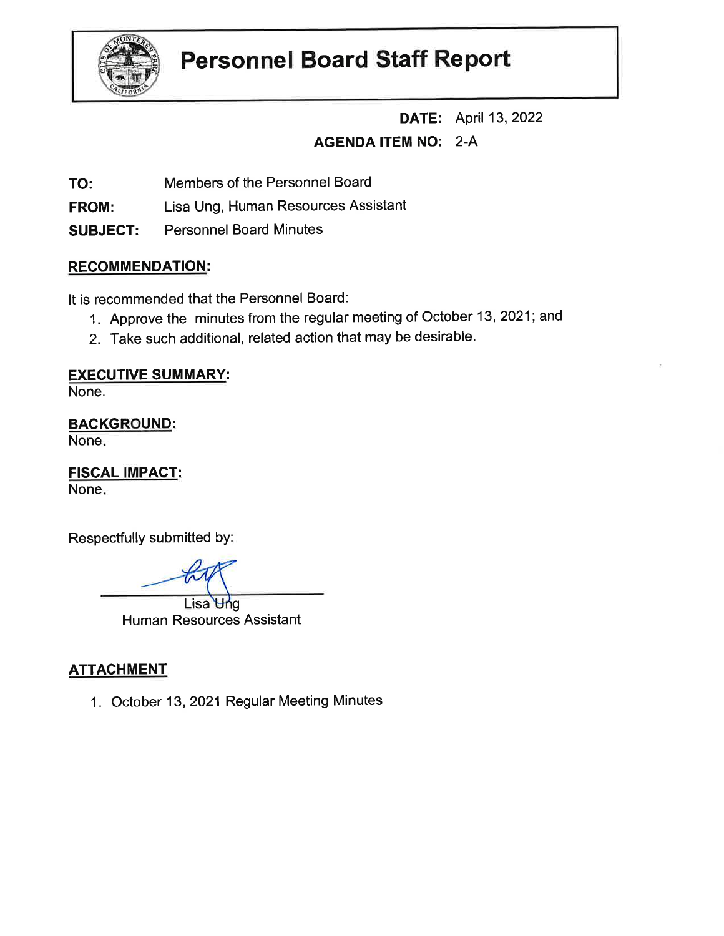

# **Personnel Board Staff Report**

**DATE:** April 13, 2022

# AGENDA ITEM NO: 2-A

TO: Members of the Personnel Board

FROM: Lisa Ung, Human Resources Assistant

SUBJECT: Personnel Board Minutes

## RECOMMENDATION:

It is recommended that the Personnel Board:

- 1. Approve the minutes from the regular meeting of October 13,2021; and
- 2. Take such additional, related action that may be desirable.

## EXECUTIVE SUMMARY:

None.

**BACKGROUND:** 

None

**FISCAL IMPACT:** None

Respectfully submitted by:

Lisa Und Human Resources Assistant

# **ATTACHMENT**

1. October 13,2021 Regular Meeting Minutes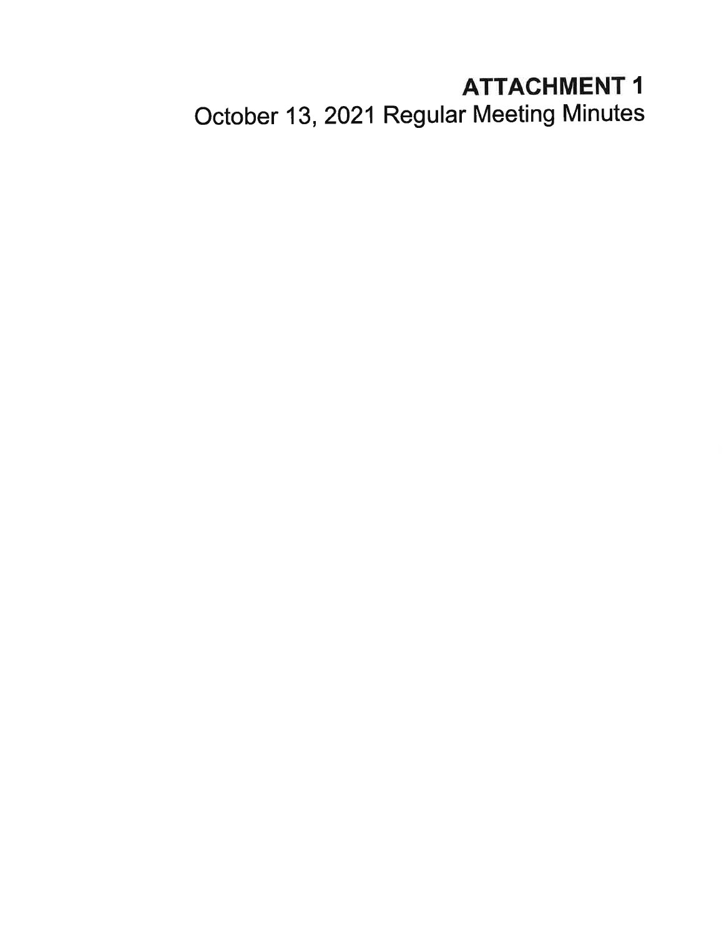# ATTACHMENT <sup>1</sup>

October 13, 2021 Regular Meeting Minutes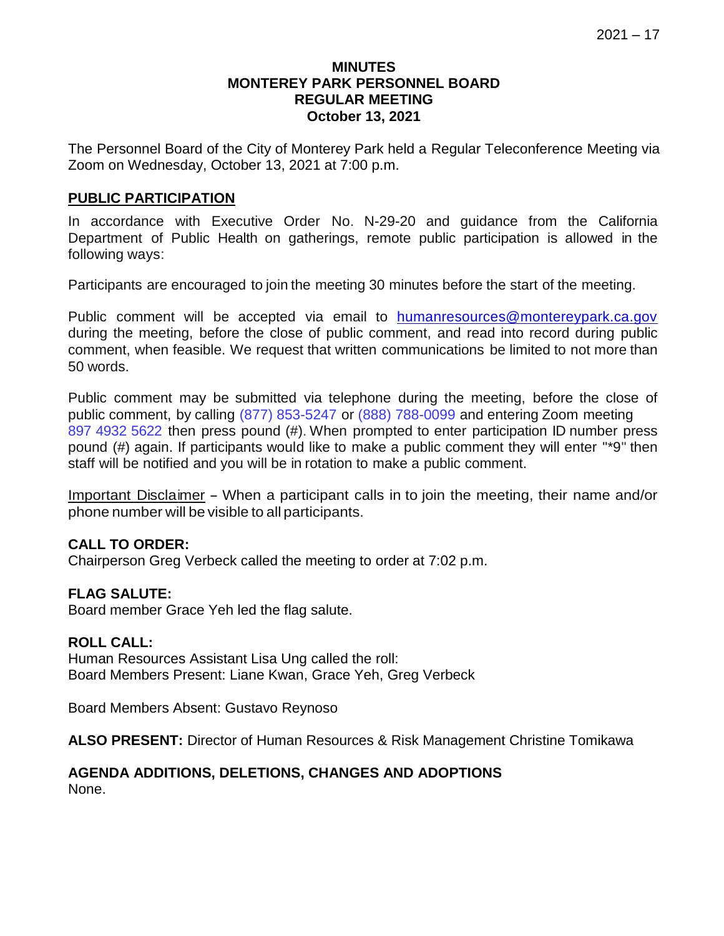#### **MINUTES MONTEREY PARK PERSONNEL BOARD REGULAR MEETING October 13, 2021**

The Personnel Board of the City of Monterey Park held a Regular Teleconference Meeting via Zoom on Wednesday, October 13, 2021 at 7:00 p.m.

#### **PUBLIC PARTICIPATION**

In accordance with Executive Order No. N-29-20 and guidance from the California Department of Public Health on gatherings, remote public participation is allowed in the following ways:

Participants are encouraged to join the meeting 30 minutes before the start of the meeting.

Public comment will be accepted via email to [humanresources@montereypark.ca.gov](mailto:humanresources@montereypark.ca.gov) during the meeting, before the close of public comment, and read into record during public comment, when feasible. We request that written communications be limited to not more than 50 words.

Public comment may be submitted via telephone during the meeting, before the close of public comment, by calling (877) 853-5247 or (888) 788-0099 and entering Zoom meeting 897 4932 5622 then press pound (#). When prompted to enter participation ID number press pound (#) again. If participants would like to make a public comment they will enter "\*9" then staff will be notified and you will be in rotation to make a public comment.

Important Disclaimer - When <sup>a</sup> participant calls in to join the meeting, their name and/or phone number will be visible to all participants.

#### **CALL TO ORDER:**

Chairperson Greg Verbeck called the meeting to order at 7:02 p.m.

#### **FLAG SALUTE:**

Board member Grace Yeh led the flag salute.

#### **ROLL CALL:**

Human Resources Assistant Lisa Ung called the roll: Board Members Present: Liane Kwan, Grace Yeh, Greg Verbeck

Board Members Absent: Gustavo Reynoso

**ALSO PRESENT:** Director of Human Resources & Risk Management Christine Tomikawa

#### **AGENDA ADDITIONS, DELETIONS, CHANGES AND ADOPTIONS** None.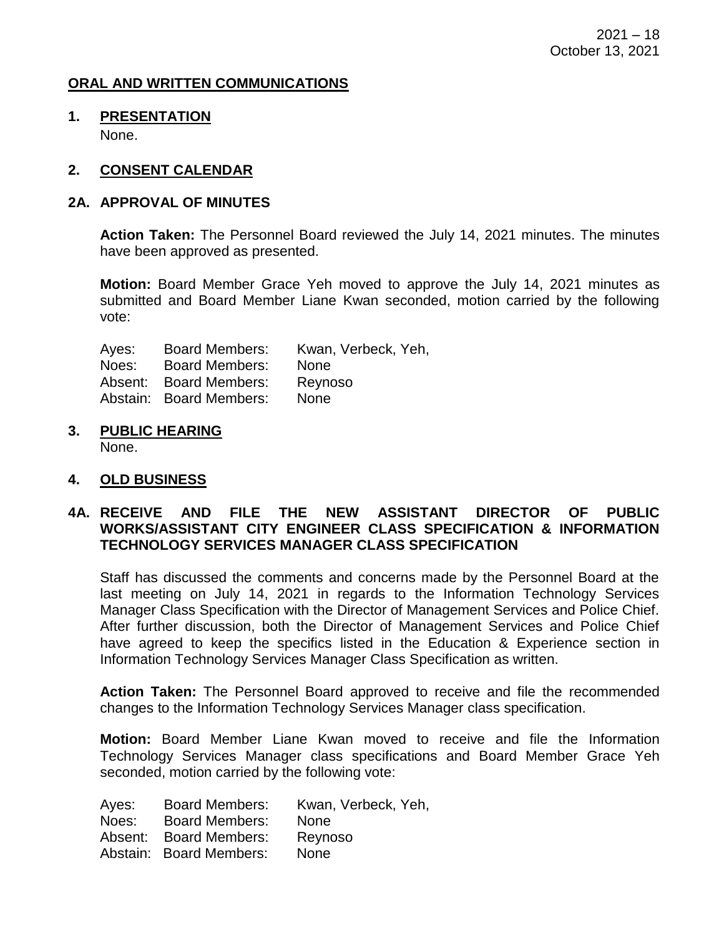#### **ORAL AND WRITTEN COMMUNICATIONS**

#### **1. PRESENTATION** None.

#### **2. CONSENT CALENDAR**

#### **2A. APPROVAL OF MINUTES**

**Action Taken:** The Personnel Board reviewed the July 14, 2021 minutes. The minutes have been approved as presented.

**Motion:** Board Member Grace Yeh moved to approve the July 14, 2021 minutes as submitted and Board Member Liane Kwan seconded, motion carried by the following vote:

| Ayes: | <b>Board Members:</b>   | Kwan, Verbeck, Yeh, |
|-------|-------------------------|---------------------|
| Noes: | <b>Board Members:</b>   | <b>None</b>         |
|       | Absent: Board Members:  | Reynoso             |
|       | Abstain: Board Members: | <b>None</b>         |

**3. PUBLIC HEARING**

None.

#### **4. OLD BUSINESS**

#### **4A. RECEIVE AND FILE THE NEW ASSISTANT DIRECTOR OF PUBLIC WORKS/ASSISTANT CITY ENGINEER CLASS SPECIFICATION & INFORMATION TECHNOLOGY SERVICES MANAGER CLASS SPECIFICATION**

Staff has discussed the comments and concerns made by the Personnel Board at the last meeting on July 14, 2021 in regards to the Information Technology Services Manager Class Specification with the Director of Management Services and Police Chief. After further discussion, both the Director of Management Services and Police Chief have agreed to keep the specifics listed in the Education & Experience section in Information Technology Services Manager Class Specification as written.

**Action Taken:** The Personnel Board approved to receive and file the recommended changes to the Information Technology Services Manager class specification.

**Motion:** Board Member Liane Kwan moved to receive and file the Information Technology Services Manager class specifications and Board Member Grace Yeh seconded, motion carried by the following vote:

| Ayes: | <b>Board Members:</b>   | Kwan, Verbeck, Yeh, |
|-------|-------------------------|---------------------|
| Noes: | <b>Board Members:</b>   | <b>None</b>         |
|       | Absent: Board Members:  | Reynoso             |
|       | Abstain: Board Members: | <b>None</b>         |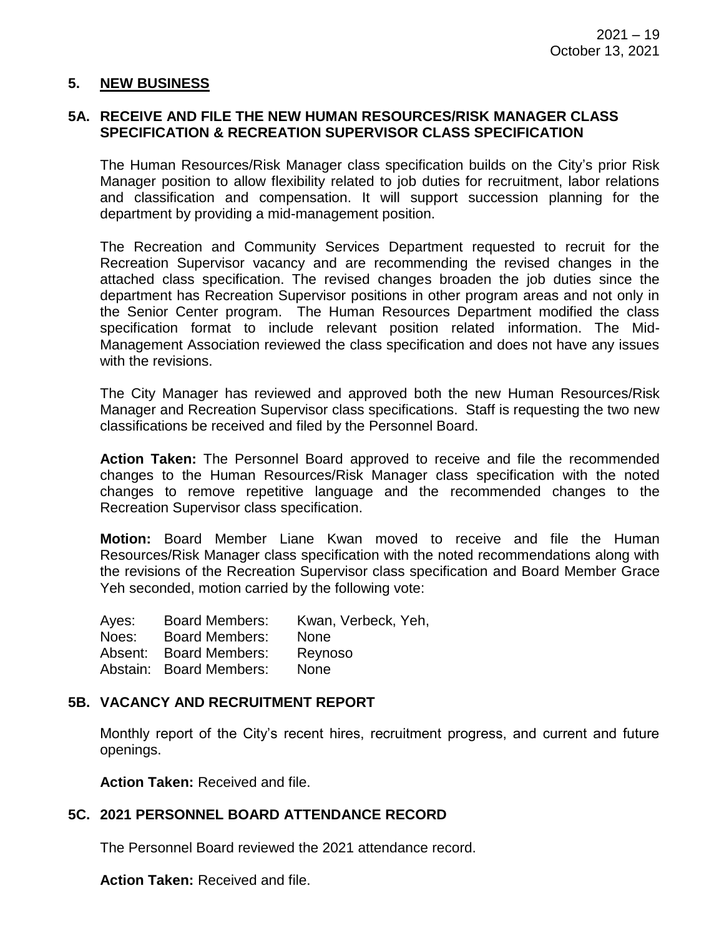#### **5. NEW BUSINESS**

#### **5A. RECEIVE AND FILE THE NEW HUMAN RESOURCES/RISK MANAGER CLASS SPECIFICATION & RECREATION SUPERVISOR CLASS SPECIFICATION**

The Human Resources/Risk Manager class specification builds on the City's prior Risk Manager position to allow flexibility related to job duties for recruitment, labor relations and classification and compensation. It will support succession planning for the department by providing a mid-management position.

The Recreation and Community Services Department requested to recruit for the Recreation Supervisor vacancy and are recommending the revised changes in the attached class specification. The revised changes broaden the job duties since the department has Recreation Supervisor positions in other program areas and not only in the Senior Center program. The Human Resources Department modified the class specification format to include relevant position related information. The Mid-Management Association reviewed the class specification and does not have any issues with the revisions.

The City Manager has reviewed and approved both the new Human Resources/Risk Manager and Recreation Supervisor class specifications. Staff is requesting the two new classifications be received and filed by the Personnel Board.

**Action Taken:** The Personnel Board approved to receive and file the recommended changes to the Human Resources/Risk Manager class specification with the noted changes to remove repetitive language and the recommended changes to the Recreation Supervisor class specification.

**Motion:** Board Member Liane Kwan moved to receive and file the Human Resources/Risk Manager class specification with the noted recommendations along with the revisions of the Recreation Supervisor class specification and Board Member Grace Yeh seconded, motion carried by the following vote:

| <b>Board Members:</b>   | Kwan, Verbeck, Yeh, |
|-------------------------|---------------------|
| <b>Board Members:</b>   | <b>None</b>         |
| Absent: Board Members:  | Reynoso             |
| Abstain: Board Members: | <b>None</b>         |
|                         |                     |

#### **5B. VACANCY AND RECRUITMENT REPORT**

Monthly report of the City's recent hires, recruitment progress, and current and future openings.

**Action Taken:** Received and file.

#### **5C. 2021 PERSONNEL BOARD ATTENDANCE RECORD**

The Personnel Board reviewed the 2021 attendance record.

**Action Taken:** Received and file.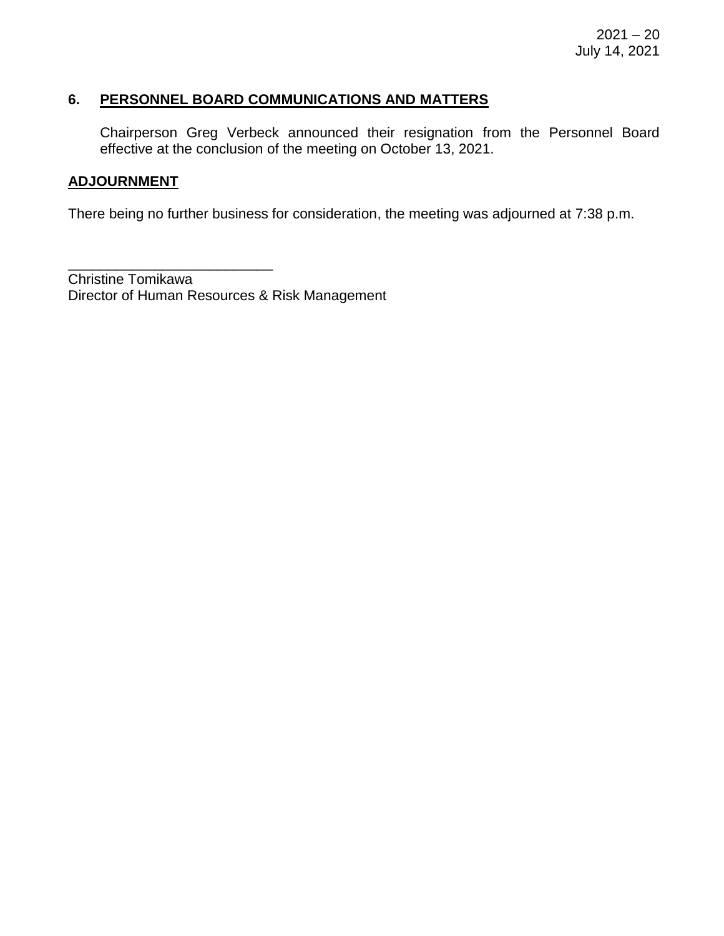#### **6. PERSONNEL BOARD COMMUNICATIONS AND MATTERS**

Chairperson Greg Verbeck announced their resignation from the Personnel Board effective at the conclusion of the meeting on October 13, 2021.

#### **ADJOURNMENT**

There being no further business for consideration, the meeting was adjourned at 7:38 p.m.

\_\_\_\_\_\_\_\_\_\_\_\_\_\_\_\_\_\_\_\_\_\_\_\_\_\_ Christine Tomikawa Director of Human Resources & Risk Management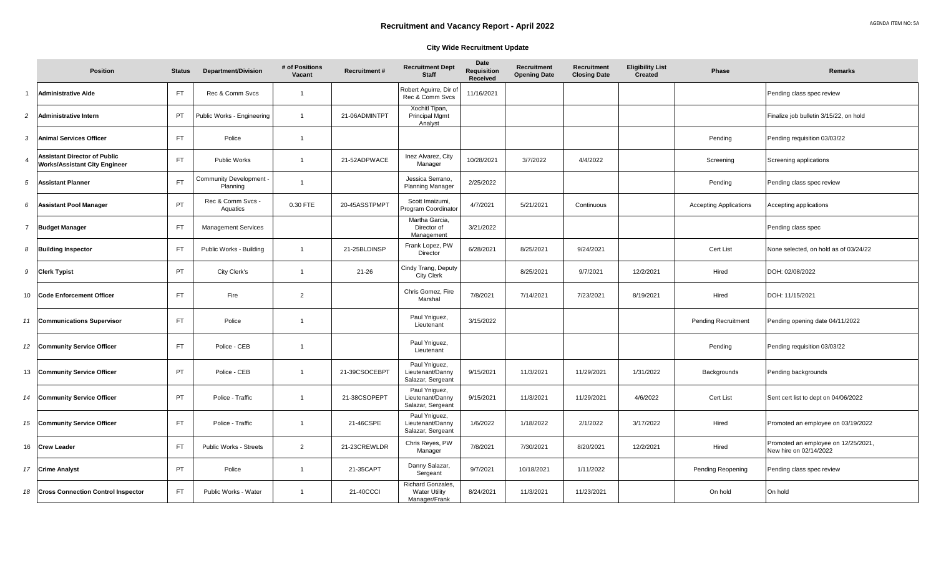#### **City Wide Recruitment Update**

|                | <b>Position</b>                                                             | <b>Status</b> | <b>Department/Division</b>               | # of Positions<br>Vacant | <b>Recruitment#</b> | <b>Recruitment Dept</b><br><b>Staff</b>                          | Date<br><b>Requisition</b><br>Received | <b>Recruitment</b><br><b>Opening Date</b> | Recruitment<br><b>Closing Date</b> | <b>Eligibility List</b><br><b>Created</b> | Phase                         | Remarks                                                       |
|----------------|-----------------------------------------------------------------------------|---------------|------------------------------------------|--------------------------|---------------------|------------------------------------------------------------------|----------------------------------------|-------------------------------------------|------------------------------------|-------------------------------------------|-------------------------------|---------------------------------------------------------------|
| $\overline{1}$ | <b>Administrative Aide</b>                                                  | FT.           | Rec & Comm Svcs                          | $\mathbf{1}$             |                     | Robert Aguirre, Dir o<br>Rec & Comm Svcs                         | 11/16/2021                             |                                           |                                    |                                           |                               | Pending class spec review                                     |
| $\overline{c}$ | <b>Administrative Intern</b>                                                | <b>PT</b>     | Public Works - Engineering               | $\mathbf{1}$             | 21-06ADMINTPT       | Xochitl Tipan,<br>Principal Mgmt<br>Analyst                      |                                        |                                           |                                    |                                           |                               | Finalize job bulletin 3/15/22, on hold                        |
| 3              | <b>Animal Services Officer</b>                                              | FT.           | Police                                   | $\overline{1}$           |                     |                                                                  |                                        |                                           |                                    |                                           | Pending                       | Pending requisition 03/03/22                                  |
| $\overline{4}$ | <b>Assistant Director of Public</b><br><b>Works/Assistant City Engineer</b> | FT.           | Public Works                             |                          | 21-52ADPWACE        | Inez Alvarez, City<br>Manager                                    | 10/28/2021                             | 3/7/2022                                  | 4/4/2022                           |                                           | Screening                     | Screening applications                                        |
| 5              | <b>Assistant Planner</b>                                                    | FT.           | <b>Community Development</b><br>Planning |                          |                     | Jessica Serrano,<br><b>Planning Manager</b>                      | 2/25/2022                              |                                           |                                    |                                           | Pending                       | Pending class spec review                                     |
| 6              | <b>Assistant Pool Manager</b>                                               | PT            | Rec & Comm Svcs -<br>Aquatics            | 0.30 FTE                 | 20-45ASSTPMPT       | Scott Imaizumi,<br>Program Coordinator                           | 4/7/2021                               | 5/21/2021                                 | Continuous                         |                                           | <b>Accepting Applications</b> | Accepting applications                                        |
| $\overline{7}$ | <b>Budget Manager</b>                                                       | <b>FT</b>     | <b>Management Services</b>               |                          |                     | Martha Garcia,<br>Director of<br>Management                      | 3/21/2022                              |                                           |                                    |                                           |                               | Pending class spec                                            |
| 8              | <b>Building Inspector</b>                                                   | FT.           | Public Works - Building                  | $\overline{1}$           | 21-25BLDINSP        | Frank Lopez, PW<br>Director                                      | 6/28/2021                              | 8/25/2021                                 | 9/24/2021                          |                                           | Cert List                     | None selected, on hold as of 03/24/22                         |
| 9              | <b>Clerk Typist</b>                                                         | PT            | City Clerk's                             | $\overline{1}$           | $21 - 26$           | Cindy Trang, Deputy<br><b>City Clerk</b>                         |                                        | 8/25/2021                                 | 9/7/2021                           | 12/2/2021                                 | Hired                         | DOH: 02/08/2022                                               |
| 10             | <b>Code Enforcement Officer</b>                                             | FT.           | Fire                                     | 2                        |                     | Chris Gomez, Fire<br>Marshal                                     | 7/8/2021                               | 7/14/2021                                 | 7/23/2021                          | 8/19/2021                                 | Hired                         | DOH: 11/15/2021                                               |
| 11             | <b>Communications Supervisor</b>                                            | FT.           | Police                                   | -1                       |                     | Paul Yniguez,<br>Lieutenant                                      | 3/15/2022                              |                                           |                                    |                                           | <b>Pending Recruitment</b>    | Pending opening date 04/11/2022                               |
| 12             | <b>Community Service Officer</b>                                            | FT.           | Police - CEB                             |                          |                     | Paul Yniguez,<br>Lieutenant                                      |                                        |                                           |                                    |                                           | Pending                       | Pending requisition 03/03/22                                  |
| 13             | <b>Community Service Officer</b>                                            | PT            | Police - CEB                             | $\mathbf{1}$             | 21-39CSOCEBPT       | Paul Yniquez,<br>Lieutenant/Danny<br>Salazar, Sergeant           | 9/15/2021                              | 11/3/2021                                 | 11/29/2021                         | 1/31/2022                                 | Backgrounds                   | Pending backgrounds                                           |
| 14             | <b>Community Service Officer</b>                                            | PT            | Police - Traffic                         |                          | 21-38CSOPEPT        | Paul Yniguez,<br>Lieutenant/Danny<br>Salazar, Sergeant           | 9/15/2021                              | 11/3/2021                                 | 11/29/2021                         | 4/6/2022                                  | Cert List                     | Sent cert list to dept on 04/06/2022                          |
| 15             | <b>Community Service Officer</b>                                            | FT.           | Police - Traffic                         | $\mathbf{1}$             | 21-46CSPE           | Paul Yniguez,<br>Lieutenant/Danny<br>Salazar, Sergeant           | 1/6/2022                               | 1/18/2022                                 | 2/1/2022                           | 3/17/2022                                 | Hired                         | Promoted an employee on 03/19/2022                            |
| 16             | <b>Crew Leader</b>                                                          | <b>FT</b>     | Public Works - Streets                   | 2                        | 21-23CREWLDR        | Chris Reyes, PW<br>Manager                                       | 7/8/2021                               | 7/30/2021                                 | 8/20/2021                          | 12/2/2021                                 | Hired                         | Promoted an employee on 12/25/2021,<br>New hire on 02/14/2022 |
| 17             | <b>Crime Analyst</b>                                                        | <b>PT</b>     | Police                                   | $\overline{1}$           | 21-35CAPT           | Danny Salazar,<br>Sergeant                                       | 9/7/2021                               | 10/18/2021                                | 1/11/2022                          |                                           | Pending Reopening             | Pending class spec review                                     |
| 18             | <b>Cross Connection Control Inspector</b>                                   | FT.           | Public Works - Water                     | $\overline{1}$           | 21-40CCCI           | <b>Richard Gonzales</b><br><b>Water Utility</b><br>Manager/Frank | 8/24/2021                              | 11/3/2021                                 | 11/23/2021                         |                                           | On hold                       | On hold                                                       |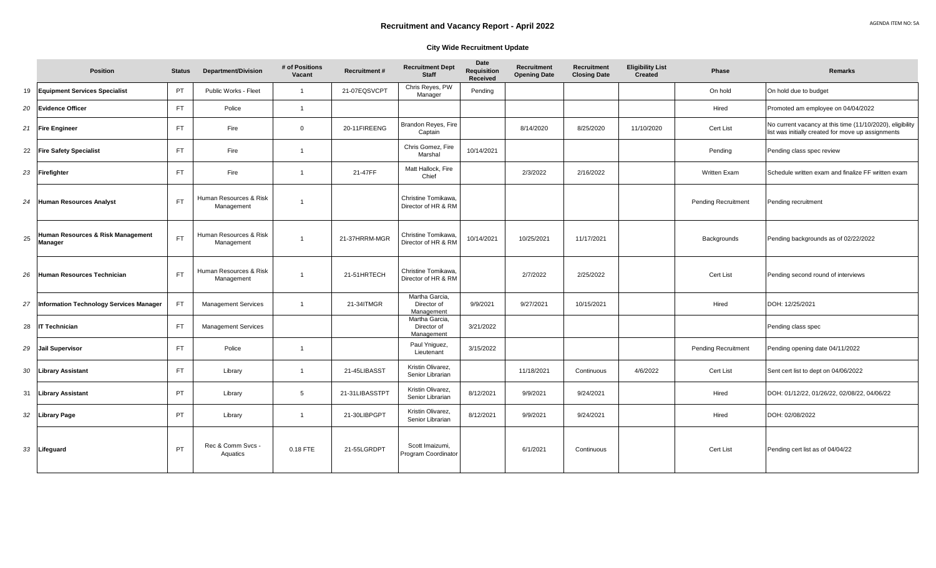#### **City Wide Recruitment Update**

|    | <b>Position</b>                                     | <b>Status</b> | <b>Department/Division</b>           | # of Positions<br>Vacant | <b>Recruitment#</b> | <b>Recruitment Dept</b><br><b>Staff</b>     | Date<br><b>Requisition</b><br>Received | Recruitment<br><b>Opening Date</b> | Recruitment<br><b>Closing Date</b> | <b>Eligibility List</b><br><b>Created</b> | Phase                      | Remarks                                                                                                         |
|----|-----------------------------------------------------|---------------|--------------------------------------|--------------------------|---------------------|---------------------------------------------|----------------------------------------|------------------------------------|------------------------------------|-------------------------------------------|----------------------------|-----------------------------------------------------------------------------------------------------------------|
| 19 | <b>Equipment Services Specialist</b>                | <b>PT</b>     | Public Works - Fleet                 | $\overline{1}$           | 21-07EQSVCPT        | Chris Reyes, PW<br>Manager                  | Pending                                |                                    |                                    |                                           | On hold                    | On hold due to budget                                                                                           |
| 20 | <b>Evidence Officer</b>                             | FT.           | Police                               | $\overline{1}$           |                     |                                             |                                        |                                    |                                    |                                           | Hired                      | Promoted am employee on 04/04/2022                                                                              |
| 21 | <b>Fire Engineer</b>                                | <b>FT</b>     | Fire                                 | $\Omega$                 | 20-11FIREENG        | Brandon Reyes, Fire<br>Captain              |                                        | 8/14/2020                          | 8/25/2020                          | 11/10/2020                                | Cert List                  | No current vacancy at this time (11/10/2020), eligibility<br>list was initially created for move up assignments |
| 22 | <b>Fire Safety Specialist</b>                       | <b>FT</b>     | Fire                                 |                          |                     | Chris Gomez, Fire<br>Marshal                | 10/14/2021                             |                                    |                                    |                                           | Pending                    | Pending class spec review                                                                                       |
| 23 | Firefighter                                         | FT.           | Fire                                 |                          | 21-47FF             | Matt Hallock, Fire<br>Chief                 |                                        | 2/3/2022                           | 2/16/2022                          |                                           | <b>Written Exam</b>        | Schedule written exam and finalize FF written exam                                                              |
| 24 | <b>Human Resources Analyst</b>                      | <b>FT</b>     | Human Resources & Risk<br>Management |                          |                     | Christine Tomikawa.<br>Director of HR & RM  |                                        |                                    |                                    |                                           | <b>Pending Recruitment</b> | Pending recruitment                                                                                             |
| 25 | Human Resources & Risk Management<br><b>Manager</b> | <b>FT</b>     | Human Resources & Risk<br>Management |                          | 21-37HRRM-MGR       | Christine Tomikawa,<br>Director of HR & RM  | 10/14/2021                             | 10/25/2021                         | 11/17/2021                         |                                           | Backgrounds                | Pending backgrounds as of 02/22/2022                                                                            |
| 26 | Human Resources Technician                          | FT.           | Human Resources & Risk<br>Management | $\overline{1}$           | 21-51HRTECH         | Christine Tomikawa.<br>Director of HR & RM  |                                        | 2/7/2022                           | 2/25/2022                          |                                           | Cert List                  | Pending second round of interviews                                                                              |
| 27 | Information Technology Services Manager             | FT.           | <b>Management Services</b>           | $\overline{1}$           | 21-34ITMGR          | Martha Garcia,<br>Director of<br>Management | 9/9/2021                               | 9/27/2021                          | 10/15/2021                         |                                           | Hired                      | DOH: 12/25/2021                                                                                                 |
| 28 | <b>IT Technician</b>                                | FT.           | <b>Management Services</b>           |                          |                     | Martha Garcia,<br>Director of<br>Management | 3/21/2022                              |                                    |                                    |                                           |                            | Pending class spec                                                                                              |
| 29 | <b>Jail Supervisor</b>                              | FT.           | Police                               | $\overline{1}$           |                     | Paul Yniguez,<br>Lieutenant                 | 3/15/2022                              |                                    |                                    |                                           | <b>Pending Recruitment</b> | Pending opening date 04/11/2022                                                                                 |
| 30 | <b>Library Assistant</b>                            | FT.           | Library                              | $\overline{1}$           | 21-45LIBASST        | Kristin Olivarez.<br>Senior Librarian       |                                        | 11/18/2021                         | Continuous                         | 4/6/2022                                  | Cert List                  | Sent cert list to dept on 04/06/2022                                                                            |
| 31 | <b>Library Assistant</b>                            | <b>PT</b>     | Library                              | 5                        | 21-31LIBASSTPT      | Kristin Olivarez,<br>Senior Librarian       | 8/12/2021                              | 9/9/2021                           | 9/24/2021                          |                                           | Hired                      | DOH: 01/12/22, 01/26/22, 02/08/22, 04/06/22                                                                     |
| 32 | <b>Library Page</b>                                 | <b>PT</b>     | Library                              | $\overline{1}$           | 21-30LIBPGPT        | Kristin Olivarez,<br>Senior Librarian       | 8/12/2021                              | 9/9/2021                           | 9/24/2021                          |                                           | Hired                      | DOH: 02/08/2022                                                                                                 |
| 33 | Lifeguard                                           | PT            | Rec & Comm Svcs -<br>Aquatics        | 0.18 FTE                 | 21-55LGRDPT         | Scott Imaizumi.<br>Program Coordinator      |                                        | 6/1/2021                           | Continuous                         |                                           | Cert List                  | Pending cert list as of 04/04/22                                                                                |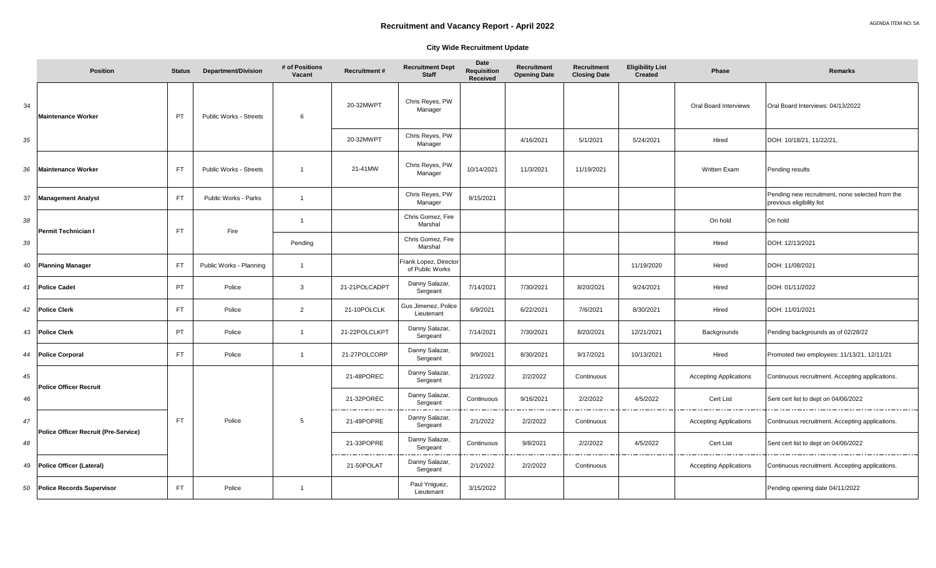#### **City Wide Recruitment Update**

|    | <b>Position</b>                             | <b>Status</b> | <b>Department/Division</b>    | # of Positions<br>Vacant | <b>Recruitment#</b> | <b>Recruitment Dept</b><br><b>Staff</b> | Date<br><b>Requisition</b><br>Received | Recruitment<br><b>Opening Date</b> | Recruitment<br><b>Closing Date</b> | <b>Eligibility List</b><br>Created | <b>Phase</b>                  | <b>Remarks</b>                                                               |
|----|---------------------------------------------|---------------|-------------------------------|--------------------------|---------------------|-----------------------------------------|----------------------------------------|------------------------------------|------------------------------------|------------------------------------|-------------------------------|------------------------------------------------------------------------------|
| 34 | <b>Maintenance Worker</b>                   | PT            | Public Works - Streets        | 6                        | 20-32MWPT           | Chris Reyes, PW<br>Manager              |                                        |                                    |                                    |                                    | Oral Board Interviews         | Oral Board Interviews: 04/13/2022                                            |
| 35 |                                             |               |                               |                          | 20-32MWPT           | Chris Reyes, PW<br>Manager              |                                        | 4/16/2021                          | 5/1/2021                           | 5/24/2021                          | Hired                         | DOH: 10/18/21, 11/22/21,                                                     |
| 36 | <b>Maintenance Worker</b>                   | <b>FT</b>     | <b>Public Works - Streets</b> | $\overline{1}$           | 21-41MW             | Chris Reyes, PW<br>Manager              | 10/14/2021                             | 11/3/2021                          | 11/19/2021                         |                                    | Written Exam                  | Pending results                                                              |
| 37 | <b>Management Analyst</b>                   | FT.           | Public Works - Parks          | $\overline{1}$           |                     | Chris Reyes, PW<br>Manager              | 9/15/2021                              |                                    |                                    |                                    |                               | Pending new recruitment, none selected from the<br>previous eligibility list |
| 38 | Permit Technician I                         | <b>FT</b>     | Fire                          | $\overline{1}$           |                     | Chris Gomez, Fire<br>Marshal            |                                        |                                    |                                    |                                    | On hold                       | On hold                                                                      |
| 39 |                                             |               |                               | Pending                  |                     | Chris Gomez, Fire<br>Marshal            |                                        |                                    |                                    |                                    | Hired                         | DOH: 12/13/2021                                                              |
| 40 | <b>Planning Manager</b>                     | FT.           | Public Works - Planning       | $\overline{1}$           |                     | rank Lopez, Director<br>of Public Works |                                        |                                    |                                    | 11/19/2020                         | Hired                         | DOH: 11/08/2021                                                              |
| 41 | <b>Police Cadet</b>                         | PT            | Police                        | 3                        | 21-21POLCADPT       | Danny Salazar,<br>Sergeant              | 7/14/2021                              | 7/30/2021                          | 8/20/2021                          | 9/24/2021                          | Hired                         | DOH: 01/11/2022                                                              |
| 42 | <b>Police Clerk</b>                         | FT.           | Police                        | $\overline{2}$           | 21-10POLCLK         | Gus Jimenez, Police<br>Lieutenant       | 6/9/2021                               | 6/22/2021                          | 7/6/2021                           | 8/30/2021                          | Hired                         | DOH: 11/01/2021                                                              |
| 43 | <b>Police Clerk</b>                         | PT            | Police                        | $\overline{1}$           | 21-22POLCLKPT       | Danny Salazar,<br>Sergeant              | 7/14/2021                              | 7/30/2021                          | 8/20/2021                          | 12/21/2021                         | Backgrounds                   | Pending backgrounds as of 02/28/22                                           |
| 44 | <b>Police Corporal</b>                      | <b>FT</b>     | Police                        | $\overline{1}$           | 21-27POLCORP        | Danny Salazar,<br>Sergeant              | 9/9/2021                               | 8/30/2021                          | 9/17/2021                          | 10/13/2021                         | Hired                         | Promoted two employees: 11/13/21, 12/11/21                                   |
| 45 | <b>Police Officer Recruit</b>               |               |                               |                          | 21-48POREC          | Danny Salazar,<br>Sergeant              | 2/1/2022                               | 2/2/2022                           | Continuous                         |                                    | <b>Accepting Applications</b> | Continuous recruitment. Accepting applications.                              |
| 46 |                                             |               |                               |                          | 21-32POREC          | Danny Salazar,<br>Sergeant              | Continuous                             | 9/16/2021                          | 2/2/2022                           | 4/5/2022                           | Cert List                     | Sent cert list to dept on 04/06/2022                                         |
| 47 | <b>Police Officer Recruit (Pre-Service)</b> | <b>FT</b>     | Police                        | 5                        | 21-49POPRE          | Danny Salazar,<br>Sergeant              | 2/1/2022                               | 2/2/2022                           | Continuous                         |                                    | <b>Accepting Applications</b> | Continuous recruitment. Accepting applications.                              |
| 48 |                                             |               |                               |                          | 21-33POPRE          | Danny Salazar,<br>Sergeant              | Continuous                             | 9/8/2021                           | 2/2/2022                           | 4/5/2022                           | Cert List                     | Sent cert list to dept on 04/06/2022                                         |
| 49 | Police Officer (Lateral)                    |               |                               |                          | 21-50POLAT          | Danny Salazar,<br>Sergeant              | 2/1/2022                               | 2/2/2022                           | Continuous                         |                                    | <b>Accepting Applications</b> | Continuous recruitment. Accepting applications.                              |
| 50 | <b>Police Records Supervisor</b>            | FT.           | Police                        | $\overline{1}$           |                     | Paul Yniguez,<br>Lieutenant             | 3/15/2022                              |                                    |                                    |                                    |                               | Pending opening date 04/11/2022                                              |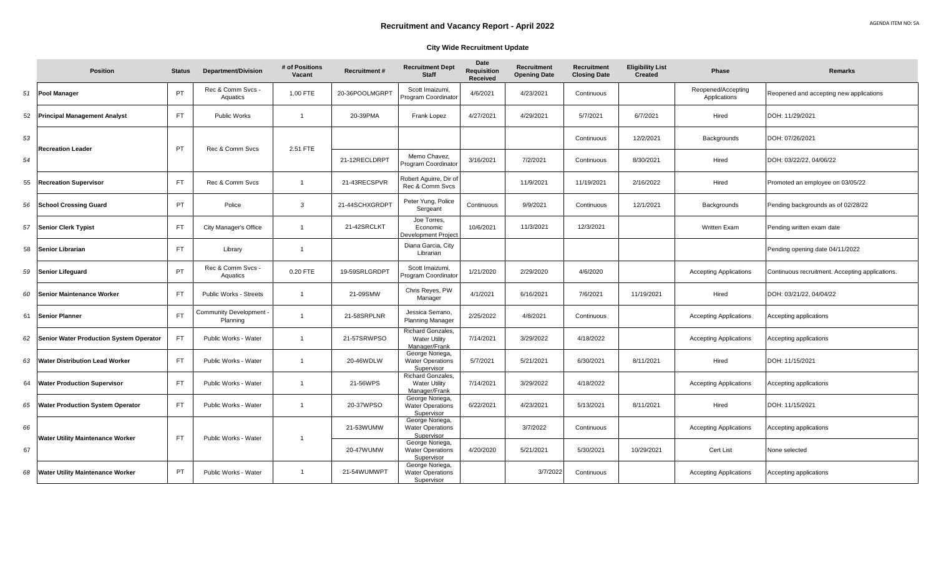|    | <b>Position</b>                                | <b>Status</b> | <b>Department/Division</b>        | # of Positions<br>Vacant | <b>Recruitment#</b> | <b>Recruitment Dept</b><br><b>Staff</b>                           | Date<br><b>Requisition</b><br><b>Received</b> | Recruitment<br><b>Opening Date</b> | Recruitment<br><b>Closing Date</b> | <b>Eligibility List</b><br><b>Created</b> | <b>Phase</b>                       | <b>Remarks</b>                                  |
|----|------------------------------------------------|---------------|-----------------------------------|--------------------------|---------------------|-------------------------------------------------------------------|-----------------------------------------------|------------------------------------|------------------------------------|-------------------------------------------|------------------------------------|-------------------------------------------------|
| 51 | <b>Pool Manager</b>                            | PT            | Rec & Comm Svcs -<br>Aquatics     | 1.00 FTE                 | 20-36POOLMGRPT      | Scott Imaizumi,<br>Program Coordinator                            | 4/6/2021                                      | 4/23/2021                          | Continuous                         |                                           | Reopened/Accepting<br>Applications | Reopened and accepting new applications         |
| 52 | <b>Principal Management Analyst</b>            | <b>FT</b>     | <b>Public Works</b>               | $\overline{1}$           | 20-39PMA            | Frank Lopez                                                       | 4/27/2021                                     | 4/29/2021                          | 5/7/2021                           | 6/7/2021                                  | Hired                              | DOH: 11/29/2021                                 |
| 53 | <b>Recreation Leader</b>                       | PT            | Rec & Comm Sycs                   | 2.51 FTE                 |                     |                                                                   |                                               |                                    | Continuous                         | 12/2/2021                                 | Backgrounds                        | DOH: 07/26/2021                                 |
| 54 |                                                |               |                                   |                          | 21-12RECLDRPT       | Memo Chavez,<br>Program Coordinator                               | 3/16/2021                                     | 7/2/2021                           | Continuous                         | 8/30/2021                                 | Hired                              | DOH: 03/22/22, 04/06/22                         |
| 55 | <b>Recreation Supervisor</b>                   | <b>FT</b>     | Rec & Comm Svcs                   | $\overline{1}$           | 21-43RECSPVR        | Robert Aguirre, Dir of<br>Rec & Comm Svcs                         |                                               | 11/9/2021                          | 11/19/2021                         | 2/16/2022                                 | Hired                              | Promoted an employee on 03/05/22                |
| 56 | <b>School Crossing Guard</b>                   | <b>PT</b>     | Police                            | 3                        | 21-44SCHXGRDPT      | Peter Yung, Police<br>Sergeant                                    | Continuous                                    | 9/9/2021                           | Continuous                         | 12/1/2021                                 | <b>Backgrounds</b>                 | Pending backgrounds as of 02/28/22              |
| 57 | <b>Senior Clerk Typist</b>                     | <b>FT</b>     | City Manager's Office             | $\overline{1}$           | 21-42SRCLKT         | Joe Torres,<br>Economic<br>Development Project                    | 10/6/2021                                     | 11/3/2021                          | 12/3/2021                          |                                           | <b>Written Exam</b>                | Pending written exam date                       |
| 58 | Senior Librarian                               | <b>FT</b>     | Library                           |                          |                     | Diana Garcia, City<br>Librarian                                   |                                               |                                    |                                    |                                           |                                    | Pending opening date 04/11/2022                 |
| 59 | <b>Senior Lifeguard</b>                        | PT            | Rec & Comm Svcs -<br>Aquatics     | 0.20 FTE                 | 19-59SRLGRDPT       | Scott Imaizumi,<br>Program Coordinator                            | 1/21/2020                                     | 2/29/2020                          | 4/6/2020                           |                                           | <b>Accepting Applications</b>      | Continuous recruitment. Accepting applications. |
| 60 | <b>Senior Maintenance Worker</b>               | <b>FT</b>     | Public Works - Streets            |                          | 21-09SMW            | Chris Reyes, PW<br>Manager                                        | 4/1/2021                                      | 6/16/2021                          | 7/6/2021                           | 11/19/2021                                | Hired                              | DOH: 03/21/22, 04/04/22                         |
| 61 | <b>Senior Planner</b>                          | <b>FT</b>     | Community Development<br>Planning |                          | 21-58SRPLNR         | Jessica Serrano,<br><b>Planning Manager</b>                       | 2/25/2022                                     | 4/8/2021                           | Continuous                         |                                           | <b>Accepting Applications</b>      | Accepting applications                          |
| 62 | <b>Senior Water Production System Operator</b> | <b>FT</b>     | Public Works - Water              | $\overline{1}$           | 21-57SRWPSO         | <b>Richard Gonzales,</b><br><b>Water Utility</b><br>Manager/Frank | 7/14/2021                                     | 3/29/2022                          | 4/18/2022                          |                                           | <b>Accepting Applications</b>      | Accepting applications                          |
| 63 | <b>Water Distribution Lead Worker</b>          | <b>FT</b>     | Public Works - Water              | $\overline{1}$           | 20-46WDLW           | George Noriega,<br><b>Water Operations</b><br>Supervisor          | 5/7/2021                                      | 5/21/2021                          | 6/30/2021                          | 8/11/2021                                 | Hired                              | DOH: 11/15/2021                                 |
| 64 | <b>Water Production Supervisor</b>             | <b>FT</b>     | Public Works - Water              | $\overline{1}$           | 21-56WPS            | <b>Richard Gonzales,</b><br><b>Water Utility</b><br>Manager/Frank | 7/14/2021                                     | 3/29/2022                          | 4/18/2022                          |                                           | <b>Accepting Applications</b>      | Accepting applications                          |
| 65 | <b>Water Production System Operator</b>        | <b>FT</b>     | Public Works - Water              | $\overline{1}$           | 20-37WPSO           | George Noriega,<br><b>Water Operations</b><br>Supervisor          | 6/22/2021                                     | 4/23/2021                          | 5/13/2021                          | 8/11/2021                                 | Hired                              | DOH: 11/15/2021                                 |
| 66 | <b>Water Utility Maintenance Worker</b>        | <b>FT</b>     | Public Works - Water              |                          | 21-53WUMW           | George Noriega,<br><b>Water Operations</b><br>Supervisor          |                                               | 3/7/2022                           | Continuous                         |                                           | <b>Accepting Applications</b>      | Accepting applications                          |
| 67 |                                                |               |                                   |                          | 20-47WUMW           | George Noriega,<br><b>Water Operations</b><br>Supervisor          | 4/20/2020                                     | 5/21/2021                          | 5/30/2021                          | 10/29/2021                                | Cert List                          | None selected                                   |
| 68 | <b>Water Utility Maintenance Worker</b>        | <b>PT</b>     | Public Works - Water              | $\overline{1}$           | 21-54WUMWPT         | George Noriega,<br><b>Water Operations</b><br>Supervisor          |                                               | 3/7/2022                           | Continuous                         |                                           | <b>Accepting Applications</b>      | Accepting applications                          |